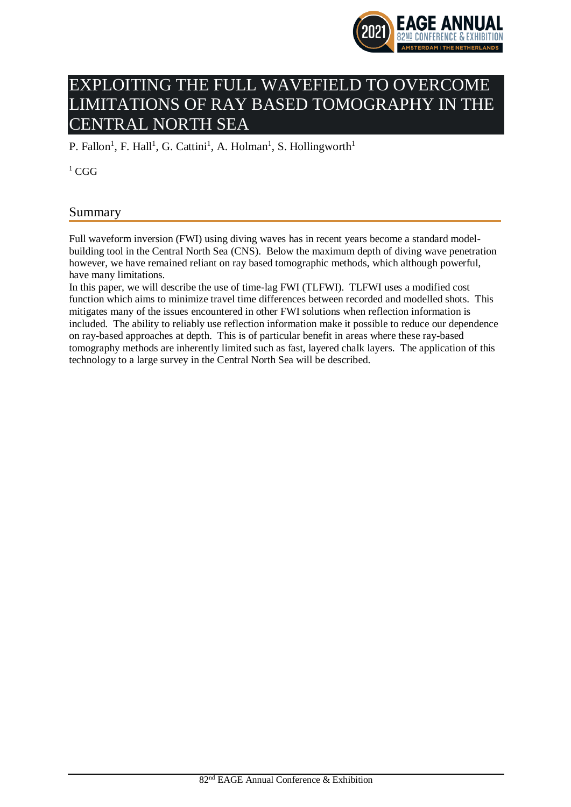

# EXPLOITING THE FULL WAVEFIELD TO OVERCOME LIMITATIONS OF RAY BASED TOMOGRAPHY IN THE CENTRAL NORTH SEA

P. Fallon<sup>1</sup>, F. Hall<sup>1</sup>, G. Cattini<sup>1</sup>, A. Holman<sup>1</sup>, S. Hollingworth<sup>1</sup>

 $1 \text{ CGG}$ 

# Summary

Full waveform inversion (FWI) using diving waves has in recent years become a standard modelbuilding tool in the Central North Sea (CNS). Below the maximum depth of diving wave penetration however, we have remained reliant on ray based tomographic methods, which although powerful, have many limitations.

In this paper, we will describe the use of time-lag FWI (TLFWI). TLFWI uses a modified cost function which aims to minimize travel time differences between recorded and modelled shots. This mitigates many of the issues encountered in other FWI solutions when reflection information is included. The ability to reliably use reflection information make it possible to reduce our dependence on ray-based approaches at depth. This is of particular benefit in areas where these ray-based tomography methods are inherently limited such as fast, layered chalk layers. The application of this technology to a large survey in the Central North Sea will be described.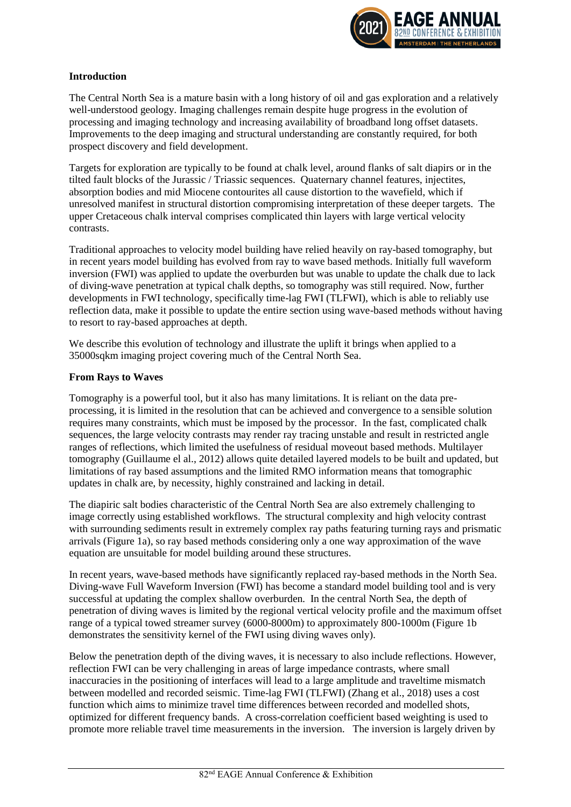

# **Introduction**

The Central North Sea is a mature basin with a long history of oil and gas exploration and a relatively well-understood geology. Imaging challenges remain despite huge progress in the evolution of processing and imaging technology and increasing availability of broadband long offset datasets. Improvements to the deep imaging and structural understanding are constantly required, for both prospect discovery and field development.

Targets for exploration are typically to be found at chalk level, around flanks of salt diapirs or in the tilted fault blocks of the Jurassic / Triassic sequences. Quaternary channel features, injectites, absorption bodies and mid Miocene contourites all cause distortion to the wavefield, which if unresolved manifest in structural distortion compromising interpretation of these deeper targets. The upper Cretaceous chalk interval comprises complicated thin layers with large vertical velocity contrasts.

Traditional approaches to velocity model building have relied heavily on ray-based tomography, but in recent years model building has evolved from ray to wave based methods. Initially full waveform inversion (FWI) was applied to update the overburden but was unable to update the chalk due to lack of diving-wave penetration at typical chalk depths, so tomography was still required. Now, further developments in FWI technology, specifically time-lag FWI (TLFWI), which is able to reliably use reflection data, make it possible to update the entire section using wave-based methods without having to resort to ray-based approaches at depth.

We describe this evolution of technology and illustrate the uplift it brings when applied to a 35000sqkm imaging project covering much of the Central North Sea.

#### **From Rays to Waves**

Tomography is a powerful tool, but it also has many limitations. It is reliant on the data preprocessing, it is limited in the resolution that can be achieved and convergence to a sensible solution requires many constraints, which must be imposed by the processor. In the fast, complicated chalk sequences, the large velocity contrasts may render ray tracing unstable and result in restricted angle ranges of reflections, which limited the usefulness of residual moveout based methods. Multilayer tomography (Guillaume el al., 2012) allows quite detailed layered models to be built and updated, but limitations of ray based assumptions and the limited RMO information means that tomographic updates in chalk are, by necessity, highly constrained and lacking in detail.

The diapiric salt bodies characteristic of the Central North Sea are also extremely challenging to image correctly using established workflows. The structural complexity and high velocity contrast with surrounding sediments result in extremely complex ray paths featuring turning rays and prismatic arrivals (Figure 1a), so ray based methods considering only a one way approximation of the wave equation are unsuitable for model building around these structures.

In recent years, wave-based methods have significantly replaced ray-based methods in the North Sea. Diving-wave Full Waveform Inversion (FWI) has become a standard model building tool and is very successful at updating the complex shallow overburden. In the central North Sea, the depth of penetration of diving waves is limited by the regional vertical velocity profile and the maximum offset range of a typical towed streamer survey (6000-8000m) to approximately 800-1000m (Figure 1b demonstrates the sensitivity kernel of the FWI using diving waves only).

Below the penetration depth of the diving waves, it is necessary to also include reflections. However, reflection FWI can be very challenging in areas of large impedance contrasts, where small inaccuracies in the positioning of interfaces will lead to a large amplitude and traveltime mismatch between modelled and recorded seismic. Time-lag FWI (TLFWI) (Zhang et al., 2018) uses a cost function which aims to minimize travel time differences between recorded and modelled shots, optimized for different frequency bands. A cross-correlation coefficient based weighting is used to promote more reliable travel time measurements in the inversion. The inversion is largely driven by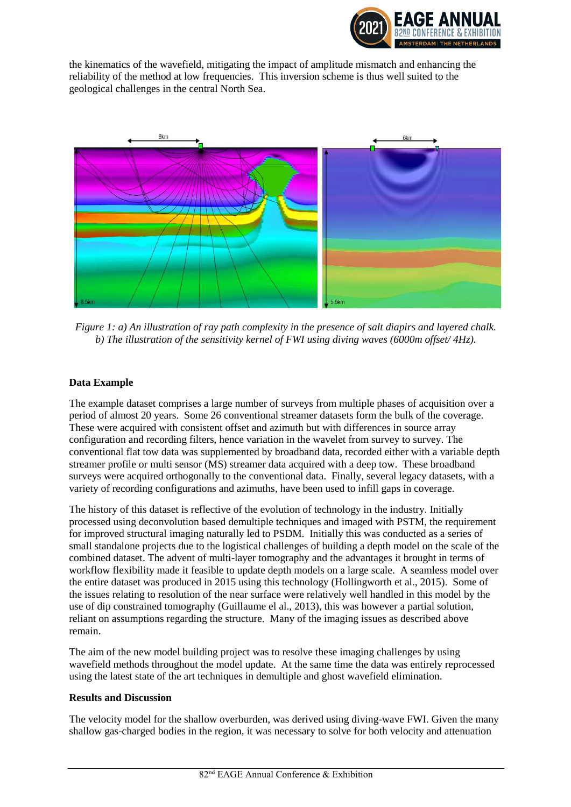

the kinematics of the wavefield, mitigating the impact of amplitude mismatch and enhancing the reliability of the method at low frequencies. This inversion scheme is thus well suited to the geological challenges in the central North Sea.



*Figure 1: a) An illustration of ray path complexity in the presence of salt diapirs and layered chalk. b) The illustration of the sensitivity kernel of FWI using diving waves (6000m offset/ 4Hz).*

# **Data Example**

The example dataset comprises a large number of surveys from multiple phases of acquisition over a period of almost 20 years. Some 26 conventional streamer datasets form the bulk of the coverage. These were acquired with consistent offset and azimuth but with differences in source array configuration and recording filters, hence variation in the wavelet from survey to survey. The conventional flat tow data was supplemented by broadband data, recorded either with a variable depth streamer profile or multi sensor (MS) streamer data acquired with a deep tow. These broadband surveys were acquired orthogonally to the conventional data. Finally, several legacy datasets, with a variety of recording configurations and azimuths, have been used to infill gaps in coverage.

The history of this dataset is reflective of the evolution of technology in the industry. Initially processed using deconvolution based demultiple techniques and imaged with PSTM, the requirement for improved structural imaging naturally led to PSDM. Initially this was conducted as a series of small standalone projects due to the logistical challenges of building a depth model on the scale of the combined dataset. The advent of multi-layer tomography and the advantages it brought in terms of workflow flexibility made it feasible to update depth models on a large scale. A seamless model over the entire dataset was produced in 2015 using this technology (Hollingworth et al., 2015). Some of the issues relating to resolution of the near surface were relatively well handled in this model by the use of dip constrained tomography (Guillaume el al., 2013), this was however a partial solution, reliant on assumptions regarding the structure. Many of the imaging issues as described above remain.

The aim of the new model building project was to resolve these imaging challenges by using wavefield methods throughout the model update. At the same time the data was entirely reprocessed using the latest state of the art techniques in demultiple and ghost wavefield elimination.

#### **Results and Discussion**

The velocity model for the shallow overburden, was derived using diving-wave FWI. Given the many shallow gas-charged bodies in the region, it was necessary to solve for both velocity and attenuation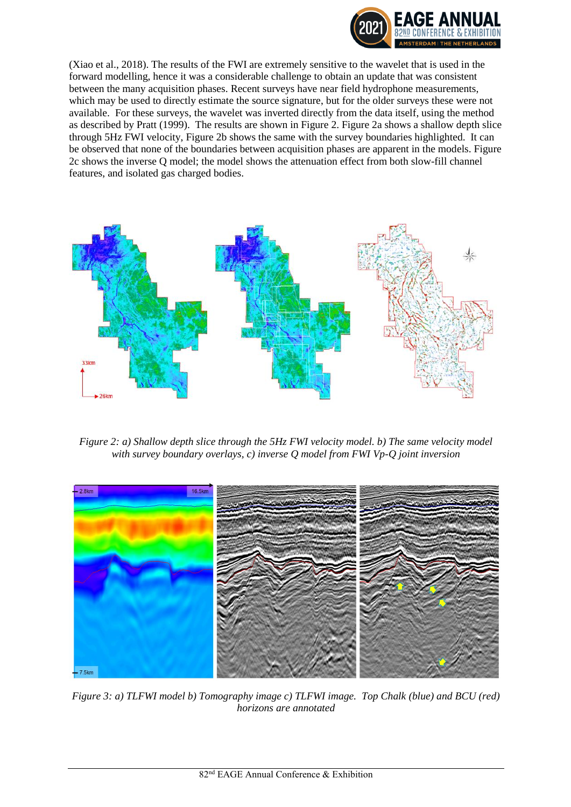

(Xiao et al., 2018). The results of the FWI are extremely sensitive to the wavelet that is used in the forward modelling, hence it was a considerable challenge to obtain an update that was consistent between the many acquisition phases. Recent surveys have near field hydrophone measurements, which may be used to directly estimate the source signature, but for the older surveys these were not available. For these surveys, the wavelet was inverted directly from the data itself, using the method as described by Pratt (1999). The results are shown in Figure 2. Figure 2a shows a shallow depth slice through 5Hz FWI velocity, Figure 2b shows the same with the survey boundaries highlighted. It can be observed that none of the boundaries between acquisition phases are apparent in the models. Figure 2c shows the inverse Q model; the model shows the attenuation effect from both slow-fill channel features, and isolated gas charged bodies.



*Figure 2: a) Shallow depth slice through the 5Hz FWI velocity model. b) The same velocity model with survey boundary overlays, c) inverse Q model from FWI Vp-Q joint inversion*



*Figure 3: a) TLFWI model b) Tomography image c) TLFWI image. Top Chalk (blue) and BCU (red) horizons are annotated*